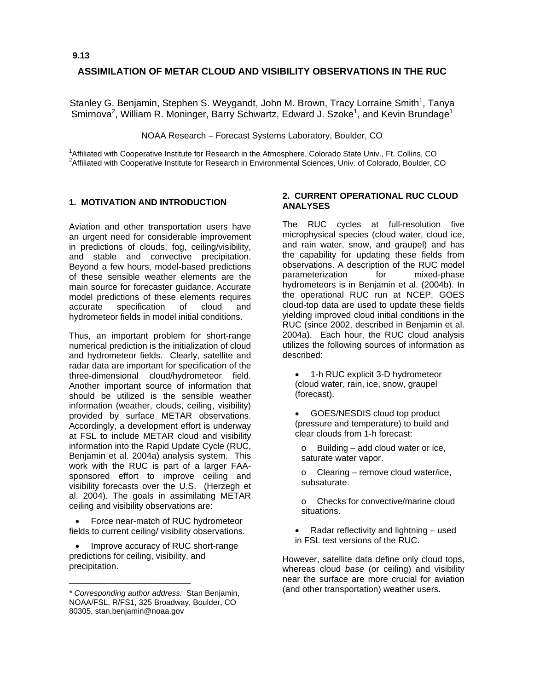## **ASSIMILATION OF METAR CLOUD AND VISIBILITY OBSERVATIONS IN THE RUC**

Stanley G. Benjamin, Stephen S. Weygandt, John M. Brown, Tracy Lorraine Smith<sup>1</sup>, Tanya Smirnova<sup>2</sup>, William R. Moninger, Barry Schwartz, Edward J. Szoke<sup>1</sup>, and Kevin Brundage<sup>1</sup>

NOAA Research − Forecast Systems Laboratory, Boulder, CO

<sup>1</sup> Affiliated with Cooperative Institute for Research in the Atmosphere, Colorado State Univ., Ft. Collins, CO<br><sup>2</sup> Affiliated with Cooperative Institute for Bessersh in Environmental Sciences, Univ. of Colorado, Boulder, <sup>2</sup> Affiliated with Cooperative Institute for Research in Environmental Sciences, Univ. of Colorado, Boulder, CO

#### **1. MOTIVATION AND INTRODUCTION**

Aviation and other transportation users have an urgent need for considerable improvement in predictions of clouds, fog, ceiling/visibility, and stable and convective precipitation. Beyond a few hours, model-based predictions of these sensible weather elements are the main source for forecaster guidance. Accurate model predictions of these elements requires accurate specification of cloud and hydrometeor fields in model initial conditions.

Thus, an important problem for short-range numerical prediction is the initialization of cloud and hydrometeor fields. Clearly, satellite and radar data are important for specification of the three-dimensional cloud/hydrometeor field. Another important source of information that should be utilized is the sensible weather information (weather, clouds, ceiling, visibility) provided by surface METAR observations. Accordingly, a development effort is underway at FSL to include METAR cloud and visibility information into the Rapid Update Cycle (RUC, Benjamin et al. 2004a) analysis system. This work with the RUC is part of a larger FAAsponsored effort to improve ceiling and visibility forecasts over the U.S. (Herzegh et al. 2004). The goals in assimilating METAR ceiling and visibility observations are:

• Force near-match of RUC hydrometeor fields to current ceiling/ visibility observations.

• Improve accuracy of RUC short-range predictions for ceiling, visibility, and precipitation.

\_\_\_\_\_\_\_\_\_\_\_\_\_\_\_\_\_\_\_\_\_\_\_\_\_\_\_\_

#### **2. CURRENT OPERATIONAL RUC CLOUD ANALYSES**

The RUC cycles at full-resolution five microphysical species (cloud water, cloud ice, and rain water, snow, and graupel) and has the capability for updating these fields from observations. A description of the RUC model parameterization for mixed-phase hydrometeors is in Benjamin et al. (2004b). In the operational RUC run at NCEP, GOES cloud-top data are used to update these fields yielding improved cloud initial conditions in the RUC (since 2002, described in Benjamin et al. 2004a). Each hour, the RUC cloud analysis utilizes the following sources of information as described:

- 1-h RUC explicit 3-D hydrometeor (cloud water, rain, ice, snow, graupel (forecast).
- GOES/NESDIS cloud top product (pressure and temperature) to build and clear clouds from 1-h forecast:
	- o Building add cloud water or ice, saturate water vapor.
	- o Clearing remove cloud water/ice, subsaturate.
	- o Checks for convective/marine cloud situations.
- Radar reflectivity and lightning used in FSL test versions of the RUC.

However, satellite data define only cloud tops, whereas cloud *base* (or ceiling) and visibility near the surface are more crucial for aviation (and other transportation) weather users.

*<sup>\*</sup> Corresponding author address:* Stan Benjamin, NOAA/FSL, R/FS1, 325 Broadway, Boulder, CO 80305, stan.benjamin@noaa.gov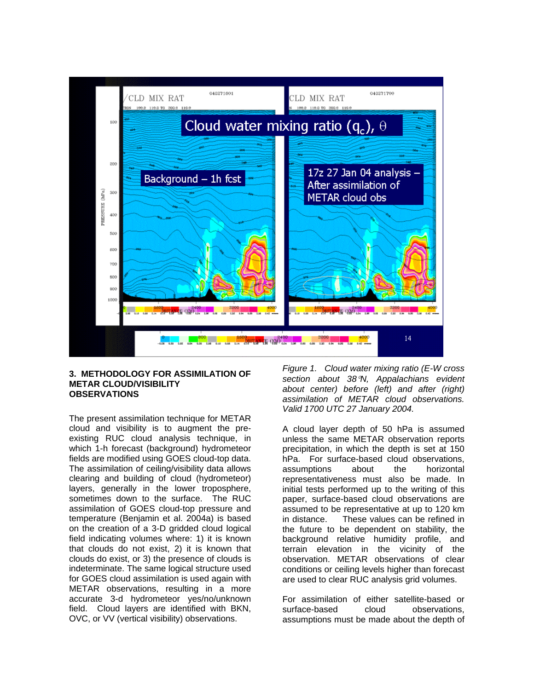

### **3. METHODOLOGY FOR ASSIMILATION OF METAR CLOUD/VISIBILITY OBSERVATIONS**

The present assimilation technique for METAR cloud and visibility is to augment the preexisting RUC cloud analysis technique, in which 1-h forecast (background) hydrometeor fields are modified using GOES cloud-top data. The assimilation of ceiling/visibility data allows clearing and building of cloud (hydrometeor) layers, generally in the lower troposphere, sometimes down to the surface. The RUC assimilation of GOES cloud-top pressure and temperature (Benjamin et al. 2004a) is based on the creation of a 3-D gridded cloud logical field indicating volumes where: 1) it is known that clouds do not exist, 2) it is known that clouds do exist, or 3) the presence of clouds is indeterminate. The same logical structure used for GOES cloud assimilation is used again with METAR observations, resulting in a more accurate 3-d hydrometeor yes/no/unknown field. Cloud layers are identified with BKN, OVC, or VV (vertical visibility) observations.

*Figure 1. Cloud water mixing ratio (E-W cross section about 38*°*N, Appalachians evident about center) before (left) and after (right) assimilation of METAR cloud observations. Valid 1700 UTC 27 January 2004.* 

A cloud layer depth of 50 hPa is assumed unless the same METAR observation reports precipitation, in which the depth is set at 150 hPa. For surface-based cloud observations, assumptions about the horizontal representativeness must also be made. In initial tests performed up to the writing of this paper, surface-based cloud observations are assumed to be representative at up to 120 km in distance. These values can be refined in the future to be dependent on stability, the background relative humidity profile, and terrain elevation in the vicinity of the observation. METAR observations of clear conditions or ceiling levels higher than forecast are used to clear RUC analysis grid volumes.

For assimilation of either satellite-based or surface-based cloud observations, assumptions must be made about the depth of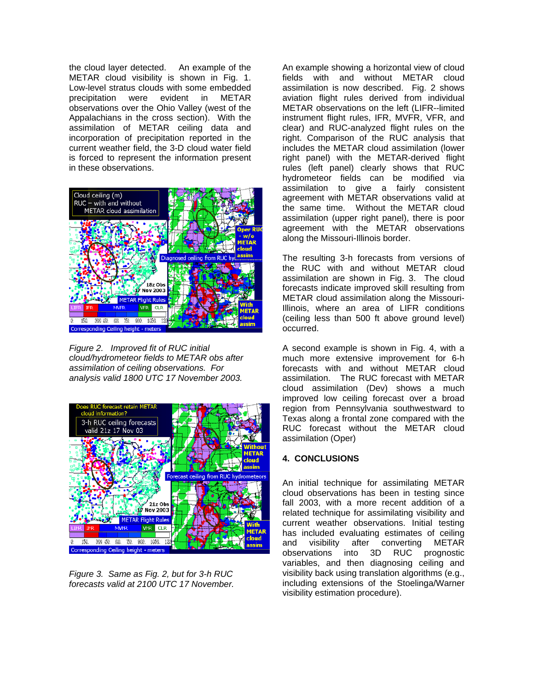the cloud layer detected. An example of the METAR cloud visibility is shown in Fig. 1. Low-level stratus clouds with some embedded precipitation were evident in METAR observations over the Ohio Valley (west of the Appalachians in the cross section). With the assimilation of METAR ceiling data and incorporation of precipitation reported in the current weather field, the 3-D cloud water field is forced to represent the information present in these observations.



*Figure 2. Improved fit of RUC initial cloud/hydrometeor fields to METAR obs after assimilation of ceiling observations. For analysis valid 1800 UTC 17 November 2003.* 



*Figure 3. Same as Fig. 2, but for 3-h RUC forecasts valid at 2100 UTC 17 November.* 

An example showing a horizontal view of cloud fields with and without METAR cloud assimilation is now described. Fig. 2 shows aviation flight rules derived from individual METAR observations on the left (LIFR--limited instrument flight rules, IFR, MVFR, VFR, and clear) and RUC-analyzed flight rules on the right. Comparison of the RUC analysis that includes the METAR cloud assimilation (lower right panel) with the METAR-derived flight rules (left panel) clearly shows that RUC hydrometeor fields can be modified via assimilation to give a fairly consistent agreement with METAR observations valid at the same time. Without the METAR cloud assimilation (upper right panel), there is poor agreement with the METAR observations along the Missouri-Illinois border.

The resulting 3-h forecasts from versions of the RUC with and without METAR cloud assimilation are shown in Fig. 3. The cloud forecasts indicate improved skill resulting from METAR cloud assimilation along the Missouri-Illinois, where an area of LIFR conditions (ceiling less than 500 ft above ground level) occurred.

A second example is shown in Fig. 4, with a much more extensive improvement for 6-h forecasts with and without METAR cloud assimilation. The RUC forecast with METAR cloud assimilation (Dev) shows a much improved low ceiling forecast over a broad region from Pennsylvania southwestward to Texas along a frontal zone compared with the RUC forecast without the METAR cloud assimilation (Oper)

# **4. CONCLUSIONS**

An initial technique for assimilating METAR cloud observations has been in testing since fall 2003, with a more recent addition of a related technique for assimilating visibility and current weather observations. Initial testing has included evaluating estimates of ceiling and visibility after converting METAR<br>observations into 3D RUC prognostic observations into 3D RUC variables, and then diagnosing ceiling and visibility back using translation algorithms (e.g., including extensions of the Stoelinga/Warner visibility estimation procedure).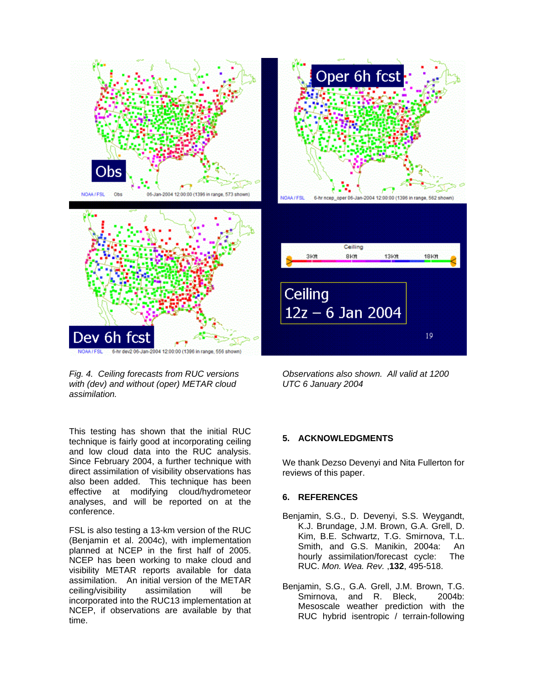



This testing has shown that the initial RUC technique is fairly good at incorporating ceiling and low cloud data into the RUC analysis. Since February 2004, a further technique with direct assimilation of visibility observations has also been added. This technique has been effective at modifying cloud/hydrometeor analyses, and will be reported on at the conference.

FSL is also testing a 13-km version of the RUC (Benjamin et al. 2004c), with implementation planned at NCEP in the first half of 2005. NCEP has been working to make cloud and visibility METAR reports available for data assimilation. An initial version of the METAR ceiling/visibility assimilation will be incorporated into the RUC13 implementation at NCEP, if observations are available by that time.



Ceiling 3Kft **BKft 13Kft** 18Kft Ceiling  $12z - 6$  Jan 2004 19

*Observations also shown. All valid at 1200 UTC 6 January 2004*

#### **5. ACKNOWLEDGMENTS**

We thank Dezso Devenyi and Nita Fullerton for reviews of this paper.

#### **6. REFERENCES**

- Benjamin, S.G., D. Devenyi, S.S. Weygandt, K.J. Brundage, J.M. Brown, G.A. Grell, D. Kim, B.E. Schwartz, T.G. Smirnova, T.L. Smith, and G.S. Manikin, 2004a: An hourly assimilation/forecast cycle: The RUC. *Mon. Wea. Rev.* ,**132**, 495-518.
- Benjamin, S.G., G.A. Grell, J.M. Brown, T.G. Smirnova, and R. Bleck, 2004b: Mesoscale weather prediction with the RUC hybrid isentropic / terrain-following